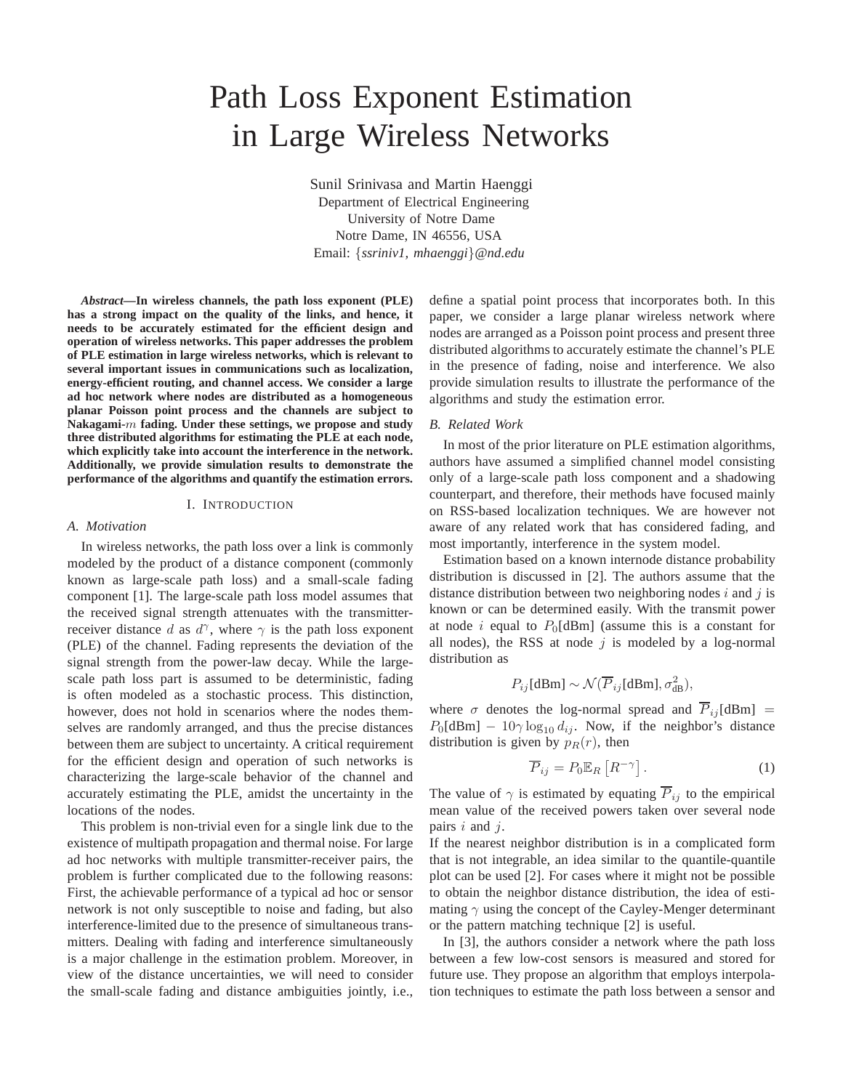# Path Loss Exponent Estimation in Large Wireless Networks

Sunil Srinivasa and Martin Haenggi Department of Electrical Engineering University of Notre Dame Notre Dame, IN 46556, USA Email: {*ssriniv1, mhaenggi*}*@nd.edu*

*Abstract***—In wireless channels, the path loss exponent (PLE) has a strong impact on the quality of the links, and hence, it needs to be accurately estimated for the efficient design and operation of wireless networks. This paper addresses the problem of PLE estimation in large wireless networks, which is relevant to several important issues in communications such as localization, energy-efficient routing, and channel access. We consider a large ad hoc network where nodes are distributed as a homogeneous planar Poisson point process and the channels are subject to Nakagami-**m **fading. Under these settings, we propose and study three distributed algorithms for estimating the PLE at each node, which explicitly take into account the interference in the network. Additionally, we provide simulation results to demonstrate the performance of the algorithms and quantify the estimation errors.**

## I. INTRODUCTION

#### *A. Motivation*

In wireless networks, the path loss over a link is commonly modeled by the product of a distance component (commonly known as large-scale path loss) and a small-scale fading component [1]. The large-scale path loss model assumes that the received signal strength attenuates with the transmitterreceiver distance d as  $d^{\gamma}$ , where  $\gamma$  is the path loss exponent (PLE) of the channel. Fading represents the deviation of the signal strength from the power-law decay. While the largescale path loss part is assumed to be deterministic, fading is often modeled as a stochastic process. This distinction, however, does not hold in scenarios where the nodes themselves are randomly arranged, and thus the precise distances between them are subject to uncertainty. A critical requirement for the efficient design and operation of such networks is characterizing the large-scale behavior of the channel and accurately estimating the PLE, amidst the uncertainty in the locations of the nodes.

This problem is non-trivial even for a single link due to the existence of multipath propagation and thermal noise. For large ad hoc networks with multiple transmitter-receiver pairs, the problem is further complicated due to the following reasons: First, the achievable performance of a typical ad hoc or sensor network is not only susceptible to noise and fading, but also interference-limited due to the presence of simultaneous transmitters. Dealing with fading and interference simultaneously is a major challenge in the estimation problem. Moreover, in view of the distance uncertainties, we will need to consider the small-scale fading and distance ambiguities jointly, i.e., define a spatial point process that incorporates both. In this paper, we consider a large planar wireless network where nodes are arranged as a Poisson point process and present three distributed algorithms to accurately estimate the channel's PLE in the presence of fading, noise and interference. We also provide simulation results to illustrate the performance of the algorithms and study the estimation error.

## *B. Related Work*

In most of the prior literature on PLE estimation algorithms, authors have assumed a simplified channel model consisting only of a large-scale path loss component and a shadowing counterpart, and therefore, their methods have focused mainly on RSS-based localization techniques. We are however not aware of any related work that has considered fading, and most importantly, interference in the system model.

Estimation based on a known internode distance probability distribution is discussed in [2]. The authors assume that the distance distribution between two neighboring nodes  $i$  and  $j$  is known or can be determined easily. With the transmit power at node i equal to  $P_0$ [dBm] (assume this is a constant for all nodes), the RSS at node  $j$  is modeled by a log-normal distribution as

$$
P_{ij}[\text{dBm}] \sim \mathcal{N}(\overline{P}_{ij}[\text{dBm}], \sigma_{\text{dB}}^2),
$$

where  $\sigma$  denotes the log-normal spread and  $\overline{P}_{ij}$ [dBm] =  $P_0$ [dBm] – 10 $\gamma \log_{10} d_{ij}$ . Now, if the neighbor's distance distribution is given by  $p_R(r)$ , then

$$
\overline{P}_{ij} = P_0 \mathbb{E}_R \left[ R^{-\gamma} \right]. \tag{1}
$$

The value of  $\gamma$  is estimated by equating  $\overline{P}_{ij}$  to the empirical mean value of the received powers taken over several node pairs  $i$  and  $j$ .

If the nearest neighbor distribution is in a complicated form that is not integrable, an idea similar to the quantile-quantile plot can be used [2]. For cases where it might not be possible to obtain the neighbor distance distribution, the idea of estimating  $\gamma$  using the concept of the Cayley-Menger determinant or the pattern matching technique [2] is useful.

In [3], the authors consider a network where the path loss between a few low-cost sensors is measured and stored for future use. They propose an algorithm that employs interpolation techniques to estimate the path loss between a sensor and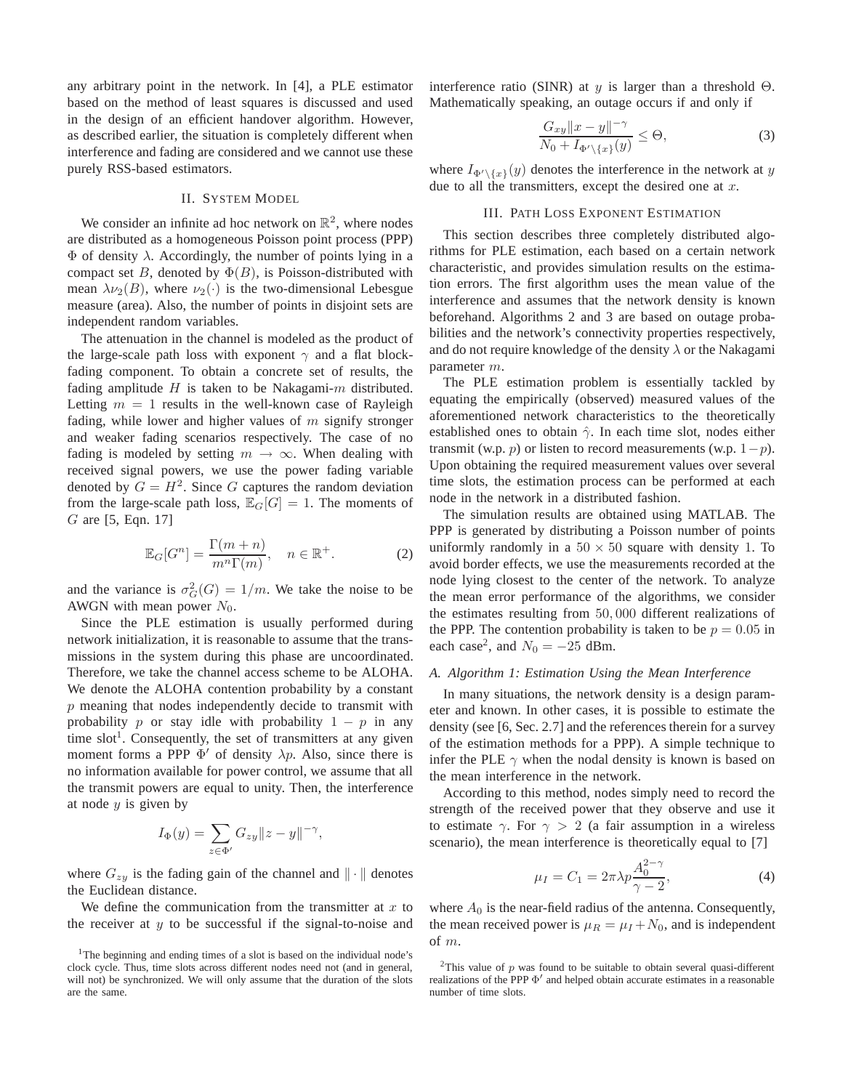any arbitrary point in the network. In [4], a PLE estimator based on the method of least squares is discussed and used in the design of an efficient handover algorithm. However, as described earlier, the situation is completely different when interference and fading are considered and we cannot use these purely RSS-based estimators.

#### II. SYSTEM MODEL

We consider an infinite ad hoc network on  $\mathbb{R}^2$ , where nodes are distributed as a homogeneous Poisson point process (PPP)  $\Phi$  of density  $\lambda$ . Accordingly, the number of points lying in a compact set B, denoted by  $\Phi(B)$ , is Poisson-distributed with mean  $\lambda \nu_2(B)$ , where  $\nu_2(\cdot)$  is the two-dimensional Lebesgue measure (area). Also, the number of points in disjoint sets are independent random variables.

The attenuation in the channel is modeled as the product of the large-scale path loss with exponent  $\gamma$  and a flat blockfading component. To obtain a concrete set of results, the fading amplitude  $H$  is taken to be Nakagami- $m$  distributed. Letting  $m = 1$  results in the well-known case of Rayleigh fading, while lower and higher values of  $m$  signify stronger and weaker fading scenarios respectively. The case of no fading is modeled by setting  $m \to \infty$ . When dealing with received signal powers, we use the power fading variable denoted by  $G = H^2$ . Since G captures the random deviation from the large-scale path loss,  $\mathbb{E}_G[G] = 1$ . The moments of G are [5, Eqn. 17]

$$
\mathbb{E}_G[G^n] = \frac{\Gamma(m+n)}{m^n \Gamma(m)}, \quad n \in \mathbb{R}^+.
$$
 (2)

and the variance is  $\sigma_G^2(G) = 1/m$ . We take the noise to be AWGN with mean power  $N_0$ .

Since the PLE estimation is usually performed during network initialization, it is reasonable to assume that the transmissions in the system during this phase are uncoordinated. Therefore, we take the channel access scheme to be ALOHA. We denote the ALOHA contention probability by a constant  $p$  meaning that nodes independently decide to transmit with probability p or stay idle with probability  $1 - p$  in any time slot<sup>1</sup>. Consequently, the set of transmitters at any given moment forms a PPP  $\Phi'$  of density  $\lambda p$ . Also, since there is no information available for power control, we assume that all the transmit powers are equal to unity. Then, the interference at node  $y$  is given by

$$
I_{\Phi}(y) = \sum_{z \in \Phi'} G_{zy} ||z - y||^{-\gamma},
$$

where  $G_{zy}$  is the fading gain of the channel and  $\|\cdot\|$  denotes the Euclidean distance.

We define the communication from the transmitter at  $x$  to the receiver at  $y$  to be successful if the signal-to-noise and interference ratio (SINR) at y is larger than a threshold  $\Theta$ . Mathematically speaking, an outage occurs if and only if

$$
\frac{G_{xy}||x-y||^{-\gamma}}{N_0 + I_{\Phi'\setminus\{x\}}(y)} \le \Theta,
$$
\n(3)

where  $I_{\Phi' \setminus \{x\}}(y)$  denotes the interference in the network at y due to all the transmitters, except the desired one at  $x$ .

#### III. PATH LOSS EXPONENT ESTIMATION

This section describes three completely distributed algorithms for PLE estimation, each based on a certain network characteristic, and provides simulation results on the estimation errors. The first algorithm uses the mean value of the interference and assumes that the network density is known beforehand. Algorithms 2 and 3 are based on outage probabilities and the network's connectivity properties respectively, and do not require knowledge of the density  $\lambda$  or the Nakagami parameter m.

The PLE estimation problem is essentially tackled by equating the empirically (observed) measured values of the aforementioned network characteristics to the theoretically established ones to obtain  $\hat{\gamma}$ . In each time slot, nodes either transmit (w.p. *p*) or listen to record measurements (w.p.  $1-p$ ). Upon obtaining the required measurement values over several time slots, the estimation process can be performed at each node in the network in a distributed fashion.

The simulation results are obtained using MATLAB. The PPP is generated by distributing a Poisson number of points uniformly randomly in a  $50 \times 50$  square with density 1. To avoid border effects, we use the measurements recorded at the node lying closest to the center of the network. To analyze the mean error performance of the algorithms, we consider the estimates resulting from 50, 000 different realizations of the PPP. The contention probability is taken to be  $p = 0.05$  in each case<sup>2</sup>, and  $N_0 = -25$  dBm.

### *A. Algorithm 1: Estimation Using the Mean Interference*

In many situations, the network density is a design parameter and known. In other cases, it is possible to estimate the density (see [6, Sec. 2.7] and the references therein for a survey of the estimation methods for a PPP). A simple technique to infer the PLE  $\gamma$  when the nodal density is known is based on the mean interference in the network.

According to this method, nodes simply need to record the strength of the received power that they observe and use it to estimate  $\gamma$ . For  $\gamma > 2$  (a fair assumption in a wireless scenario), the mean interference is theoretically equal to [7]

$$
\mu_I = C_1 = 2\pi \lambda p \frac{A_0^{2-\gamma}}{\gamma - 2},
$$
\n(4)

where  $A_0$  is the near-field radius of the antenna. Consequently, the mean received power is  $\mu_R = \mu_I + N_0$ , and is independent of m.

<sup>&</sup>lt;sup>1</sup>The beginning and ending times of a slot is based on the individual node's clock cycle. Thus, time slots across different nodes need not (and in general, will not) be synchronized. We will only assume that the duration of the slots are the same.

<sup>&</sup>lt;sup>2</sup>This value of p was found to be suitable to obtain several quasi-different realizations of the PPP  $\Phi'$  and helped obtain accurate estimates in a reasonable number of time slots.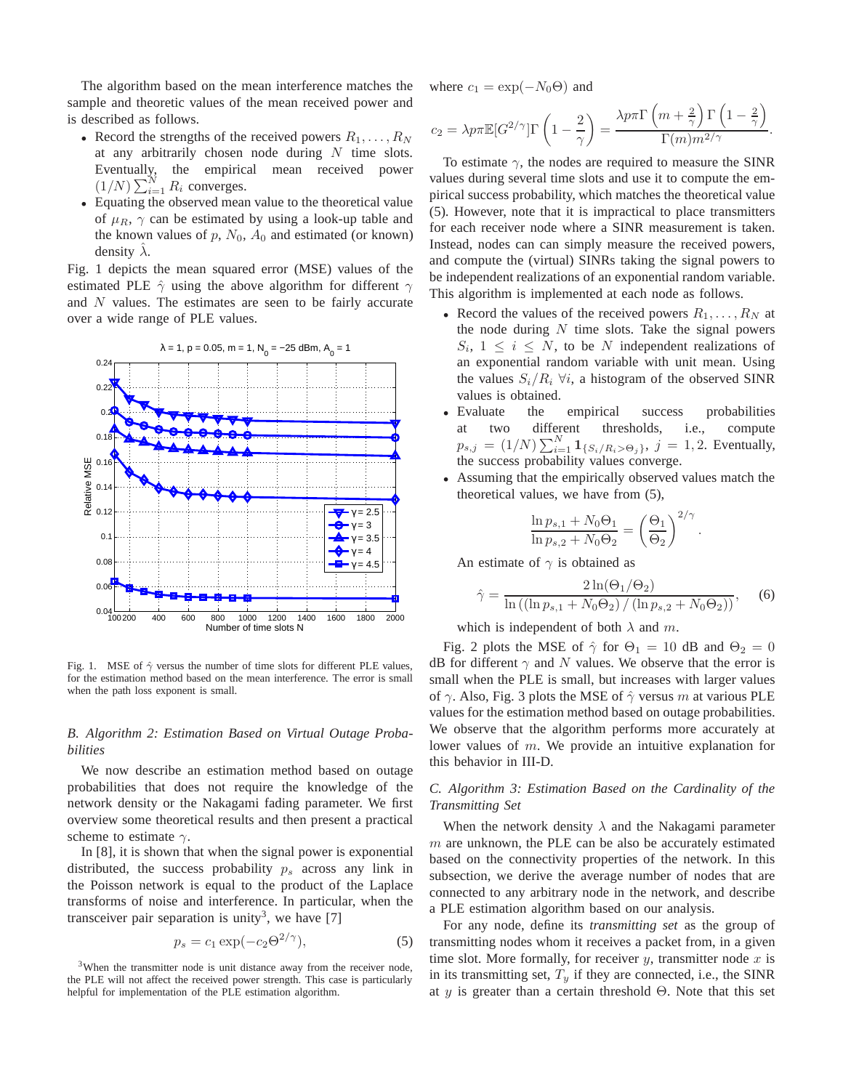The algorithm based on the mean interference matches the sample and theoretic values of the mean received power and is described as follows.

- Record the strengths of the received powers  $R_1, \ldots, R_N$ at any arbitrarily chosen node during  $N$  time slots. Eventually, the empirical mean received power  $(1/N) \sum_{i=1}^{N} R_i$  converges.
- Equating the observed mean value to the theoretical value of  $\mu_R$ ,  $\gamma$  can be estimated by using a look-up table and the known values of p,  $N_0$ ,  $A_0$  and estimated (or known) density  $\lambda$ .

Fig. 1 depicts the mean squared error (MSE) values of the estimated PLE  $\hat{\gamma}$  using the above algorithm for different  $\gamma$ and N values. The estimates are seen to be fairly accurate over a wide range of PLE values.



Fig. 1. MSE of  $\hat{\gamma}$  versus the number of time slots for different PLE values, for the estimation method based on the mean interference. The error is small when the path loss exponent is small.

# *B. Algorithm 2: Estimation Based on Virtual Outage Probabilities*

We now describe an estimation method based on outage probabilities that does not require the knowledge of the network density or the Nakagami fading parameter. We first overview some theoretical results and then present a practical scheme to estimate  $\gamma$ .

In [8], it is shown that when the signal power is exponential distributed, the success probability  $p_s$  across any link in the Poisson network is equal to the product of the Laplace transforms of noise and interference. In particular, when the transceiver pair separation is unity<sup>3</sup>, we have [7]

$$
p_s = c_1 \exp(-c_2 \Theta^{2/\gamma}),\tag{5}
$$

 $3$ When the transmitter node is unit distance away from the receiver node, the PLE will not affect the received power strength. This case is particularly helpful for implementation of the PLE estimation algorithm.

where  $c_1 = \exp(-N_0\Theta)$  and

$$
c_2 = \lambda p \pi \mathbb{E}[G^{2/\gamma}]\Gamma\left(1 - \frac{2}{\gamma}\right) = \frac{\lambda p \pi \Gamma\left(m + \frac{2}{\gamma}\right)\Gamma\left(1 - \frac{2}{\gamma}\right)}{\Gamma(m)m^{2/\gamma}}.
$$

To estimate  $\gamma$ , the nodes are required to measure the SINR values during several time slots and use it to compute the empirical success probability, which matches the theoretical value (5). However, note that it is impractical to place transmitters for each receiver node where a SINR measurement is taken. Instead, nodes can can simply measure the received powers, and compute the (virtual) SINRs taking the signal powers to be independent realizations of an exponential random variable. This algorithm is implemented at each node as follows.

- Record the values of the received powers  $R_1, \ldots, R_N$  at the node during  $N$  time slots. Take the signal powers  $S_i$ ,  $1 \leq i \leq N$ , to be N independent realizations of an exponential random variable with unit mean. Using the values  $S_i/R_i$   $\forall i$ , a histogram of the observed SINR values is obtained.
- Evaluate the empirical success probabilities at two different thresholds, i.e., compute  $p_{s,j} = (1/N) \sum_{i=1}^{N} \mathbf{1}_{\{S_i/R_i > \Theta_j\}}, j = 1, 2$ . Eventually, the success probability values converge.
- Assuming that the empirically observed values match the theoretical values, we have from (5),

$$
\frac{\ln p_{s,1} + N_0 \Theta_1}{\ln p_{s,2} + N_0 \Theta_2} = \left(\frac{\Theta_1}{\Theta_2}\right)^{2/\gamma}.
$$

An estimate of  $\gamma$  is obtained as

$$
\hat{\gamma} = \frac{2\ln(\Theta_1/\Theta_2)}{\ln((\ln p_{s,1} + N_0\Theta_2)/(\ln p_{s,2} + N_0\Theta_2))},
$$
 (6)

which is independent of both  $\lambda$  and m.

Fig. 2 plots the MSE of  $\hat{\gamma}$  for  $\Theta_1 = 10$  dB and  $\Theta_2 = 0$ dB for different  $\gamma$  and N values. We observe that the error is small when the PLE is small, but increases with larger values of  $\gamma$ . Also, Fig. 3 plots the MSE of  $\hat{\gamma}$  versus m at various PLE values for the estimation method based on outage probabilities. We observe that the algorithm performs more accurately at lower values of m. We provide an intuitive explanation for this behavior in III-D.

# *C. Algorithm 3: Estimation Based on the Cardinality of the Transmitting Set*

When the network density  $\lambda$  and the Nakagami parameter  $m$  are unknown, the PLE can be also be accurately estimated based on the connectivity properties of the network. In this subsection, we derive the average number of nodes that are connected to any arbitrary node in the network, and describe a PLE estimation algorithm based on our analysis.

For any node, define its *transmitting set* as the group of transmitting nodes whom it receives a packet from, in a given time slot. More formally, for receiver  $y$ , transmitter node  $x$  is in its transmitting set,  $T_y$  if they are connected, i.e., the SINR at y is greater than a certain threshold  $\Theta$ . Note that this set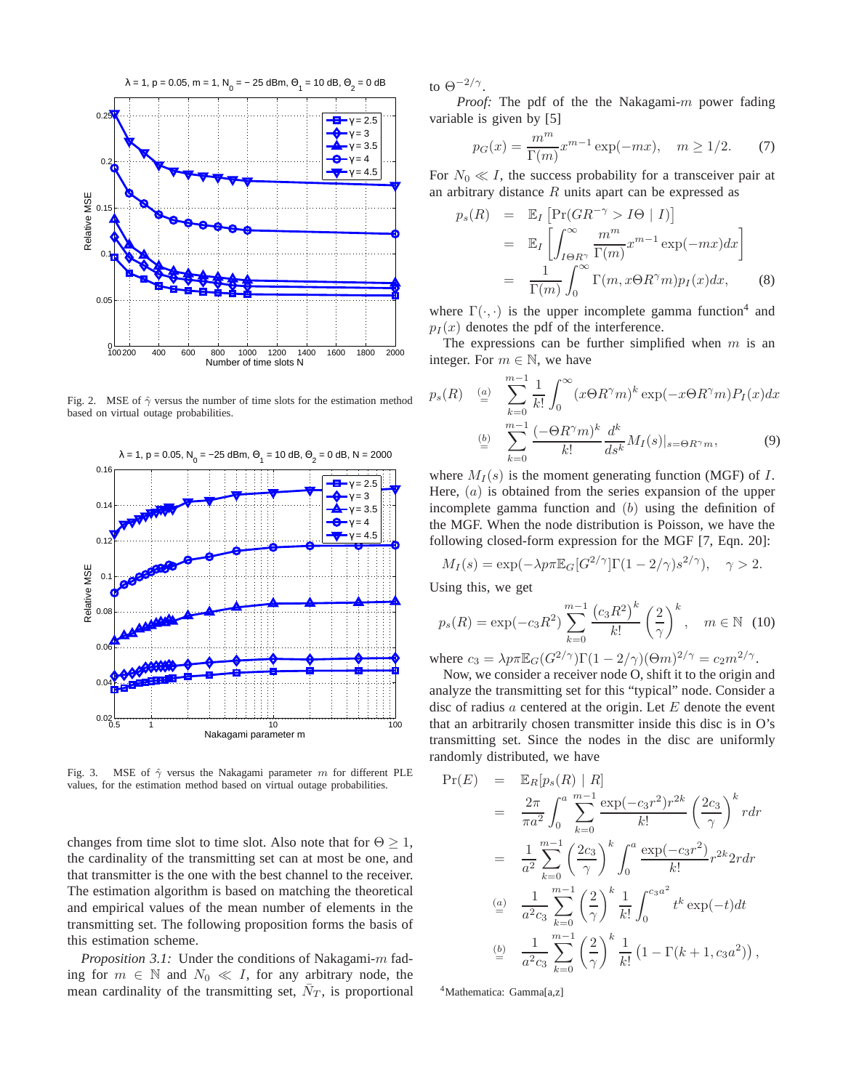

Fig. 2. MSE of  $\hat{\gamma}$  versus the number of time slots for the estimation method based on virtual outage probabilities.



Fig. 3. MSE of  $\hat{\gamma}$  versus the Nakagami parameter m for different PLE values, for the estimation method based on virtual outage probabilities.

changes from time slot to time slot. Also note that for  $\Theta \geq 1$ , the cardinality of the transmitting set can at most be one, and that transmitter is the one with the best channel to the receiver. The estimation algorithm is based on matching the theoretical and empirical values of the mean number of elements in the transmitting set. The following proposition forms the basis of this estimation scheme.

*Proposition 3.1:* Under the conditions of Nakagami-m fading for  $m \in \mathbb{N}$  and  $N_0 \ll I$ , for any arbitrary node, the mean cardinality of the transmitting set,  $\bar{N}_T$ , is proportional to  $\Theta^{-2/\gamma}$ .

*Proof:* The pdf of the the Nakagami-m power fading variable is given by [5]

$$
p_G(x) = \frac{m^m}{\Gamma(m)} x^{m-1} \exp(-mx), \quad m \ge 1/2.
$$
 (7)

For  $N_0 \ll I$ , the success probability for a transceiver pair at an arbitrary distance  $R$  units apart can be expressed as

$$
p_s(R) = \mathbb{E}_I \left[ \Pr(GR^{-\gamma} > I\Theta \mid I) \right]
$$
  
= 
$$
\mathbb{E}_I \left[ \int_{I\Theta R^{\gamma}}^{\infty} \frac{m^m}{\Gamma(m)} x^{m-1} \exp(-mx) dx \right]
$$
  
= 
$$
\frac{1}{\Gamma(m)} \int_0^{\infty} \Gamma(m, x\Theta R^{\gamma} m) p_I(x) dx,
$$
 (8)

where  $\Gamma(\cdot, \cdot)$  is the upper incomplete gamma function<sup>4</sup> and  $p_I(x)$  denotes the pdf of the interference.

The expressions can be further simplified when  $m$  is an integer. For  $m \in \mathbb{N}$ , we have

$$
p_s(R) \stackrel{(a)}{=} \sum_{k=0}^{m-1} \frac{1}{k!} \int_0^\infty (x \Theta R^\gamma m)^k \exp(-x \Theta R^\gamma m) P_I(x) dx
$$
  

$$
\stackrel{(b)}{=} \sum_{k=0}^{m-1} \frac{(-\Theta R^\gamma m)^k}{k!} \frac{d^k}{ds^k} M_I(s)|_{s=\Theta R^\gamma m},
$$
(9)

where  $M_I(s)$  is the moment generating function (MGF) of I. Here,  $(a)$  is obtained from the series expansion of the upper incomplete gamma function and  $(b)$  using the definition of the MGF. When the node distribution is Poisson, we have the following closed-form expression for the MGF [7, Eqn. 20]:

$$
M_I(s) = \exp(-\lambda p \pi \mathbb{E}_G[G^{2/\gamma}]\Gamma(1 - 2/\gamma)s^{2/\gamma}), \quad \gamma > 2.
$$

Using this, we get

$$
p_s(R) = \exp(-c_3 R^2) \sum_{k=0}^{m-1} \frac{(c_3 R^2)^k}{k!} \left(\frac{2}{\gamma}\right)^k, \quad m \in \mathbb{N}
$$
 (10)

where  $c_3 = \lambda p \pi \mathbb{E}_G (G^{2/\gamma}) \Gamma(1 - 2/\gamma) (\Theta m)^{2/\gamma} = c_2 m^{2/\gamma}$ .

Now, we consider a receiver node O, shift it to the origin and analyze the transmitting set for this "typical" node. Consider a disc of radius  $a$  centered at the origin. Let  $E$  denote the event that an arbitrarily chosen transmitter inside this disc is in O's transmitting set. Since the nodes in the disc are uniformly randomly distributed, we have

$$
\begin{array}{rcl}\n\Pr(E) & = & \mathbb{E}_{R}[p_{s}(R) \mid R] \\
& = & \frac{2\pi}{\pi a^{2}} \int_{0}^{a} \sum_{k=0}^{m-1} \frac{\exp(-c_{3}r^{2})r^{2k}}{k!} \left(\frac{2c_{3}}{\gamma}\right)^{k} r dr \\
& = & \frac{1}{a^{2}} \sum_{k=0}^{m-1} \left(\frac{2c_{3}}{\gamma}\right)^{k} \int_{0}^{a} \frac{\exp(-c_{3}r^{2})}{k!} r^{2k} 2r dr \\
& \stackrel{(a)}{=} & \frac{1}{a^{2}c_{3}} \sum_{k=0}^{m-1} \left(\frac{2}{\gamma}\right)^{k} \frac{1}{k!} \int_{0}^{c_{3}a^{2}} t^{k} \exp(-t) dt \\
& \stackrel{(b)}{=} & \frac{1}{a^{2}c_{3}} \sum_{k=0}^{m-1} \left(\frac{2}{\gamma}\right)^{k} \frac{1}{k!} \left(1 - \Gamma(k+1, c_{3}a^{2})\right),\n\end{array}
$$

<sup>4</sup>Mathematica: Gamma[a,z]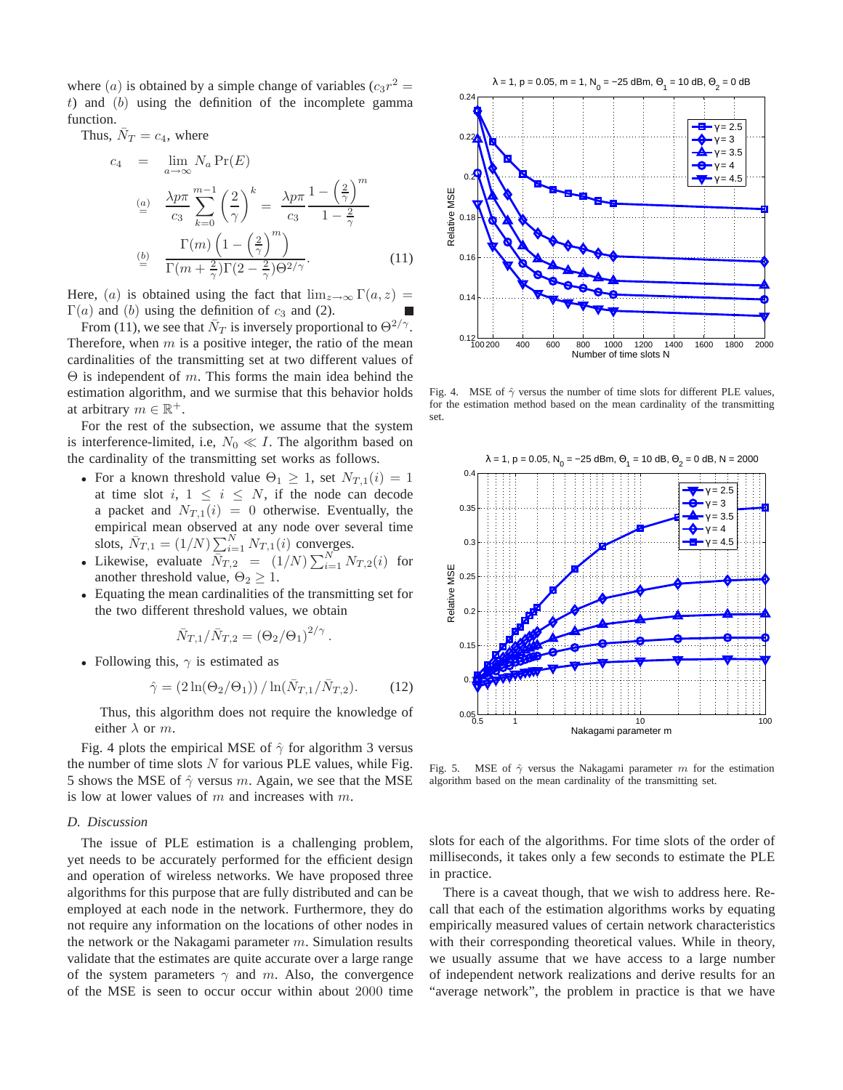where (*a*) is obtained by a simple change of variables  $(c_3r^2 =$  $t$ ) and  $(b)$  using the definition of the incomplete gamma function.

Thus,  $\bar{N}_T = c_4$ , where

$$
c_4 = \lim_{a \to \infty} N_a \Pr(E)
$$
  
\n
$$
\stackrel{(a)}{=} \frac{\lambda p \pi}{c_3} \sum_{k=0}^{m-1} \left(\frac{2}{\gamma}\right)^k = \frac{\lambda p \pi}{c_3} \frac{1 - \left(\frac{2}{\gamma}\right)^m}{1 - \frac{2}{\gamma}}
$$
  
\n
$$
\stackrel{(b)}{=} \frac{\Gamma(m) \left(1 - \left(\frac{2}{\gamma}\right)^m\right)}{\Gamma(m + \frac{2}{\gamma}) \Gamma(2 - \frac{2}{\gamma}) \Theta^{2/\gamma}}.
$$
\n(11)

Here, (a) is obtained using the fact that  $\lim_{z\to\infty} \Gamma(a, z) =$  $\Gamma(a)$  and (b) using the definition of  $c_3$  and (2).

From (11), we see that  $\bar{N}_T$  is inversely proportional to  $\Theta^{2/\gamma}$ . Therefore, when  $m$  is a positive integer, the ratio of the mean cardinalities of the transmitting set at two different values of  $\Theta$  is independent of m. This forms the main idea behind the estimation algorithm, and we surmise that this behavior holds at arbitrary  $m \in \mathbb{R}^+$ .

For the rest of the subsection, we assume that the system is interference-limited, i.e,  $N_0 \ll I$ . The algorithm based on the cardinality of the transmitting set works as follows.

- For a known threshold value  $\Theta_1 \geq 1$ , set  $N_{T,1}(i) = 1$ at time slot i,  $1 \leq i \leq N$ , if the node can decode a packet and  $N_{T,1}(i) = 0$  otherwise. Eventually, the empirical mean observed at any node over several time slots,  $\bar{N}_{T,1} = (1/N) \sum_{i=1}^{N} N_{T,1}(i)$  converges.
- Likewise, evaluate  $\overline{N}_{T,2} = (1/N) \sum_{i=1}^{N} N_{T,2}(i)$  for another threshold value,  $\Theta_2 \geq 1$ .
- Equating the mean cardinalities of the transmitting set for the two different threshold values, we obtain

$$
\bar{N}_{T,1}/\bar{N}_{T,2} = (\Theta_2/\Theta_1)^{2/\gamma}.
$$

• Following this,  $\gamma$  is estimated as

$$
\hat{\gamma} = (2\ln(\Theta_2/\Theta_1)) / \ln(\bar{N}_{T,1}/\bar{N}_{T,2}).
$$
 (12)

Thus, this algorithm does not require the knowledge of either  $\lambda$  or  $m$ .

Fig. 4 plots the empirical MSE of  $\hat{\gamma}$  for algorithm 3 versus the number of time slots  $N$  for various PLE values, while Fig. 5 shows the MSE of  $\hat{\gamma}$  versus m. Again, we see that the MSE is low at lower values of  $m$  and increases with  $m$ .

## *D. Discussion*

The issue of PLE estimation is a challenging problem, yet needs to be accurately performed for the efficient design and operation of wireless networks. We have proposed three algorithms for this purpose that are fully distributed and can be employed at each node in the network. Furthermore, they do not require any information on the locations of other nodes in the network or the Nakagami parameter  $m$ . Simulation results validate that the estimates are quite accurate over a large range of the system parameters  $\gamma$  and m. Also, the convergence of the MSE is seen to occur occur within about 2000 time



Fig. 4. MSE of  $\hat{\gamma}$  versus the number of time slots for different PLE values, for the estimation method based on the mean cardinality of the transmitting set.



Fig. 5. MSE of  $\hat{\gamma}$  versus the Nakagami parameter m for the estimation algorithm based on the mean cardinality of the transmitting set.

slots for each of the algorithms. For time slots of the order of milliseconds, it takes only a few seconds to estimate the PLE in practice.

There is a caveat though, that we wish to address here. Recall that each of the estimation algorithms works by equating empirically measured values of certain network characteristics with their corresponding theoretical values. While in theory, we usually assume that we have access to a large number of independent network realizations and derive results for an "average network", the problem in practice is that we have